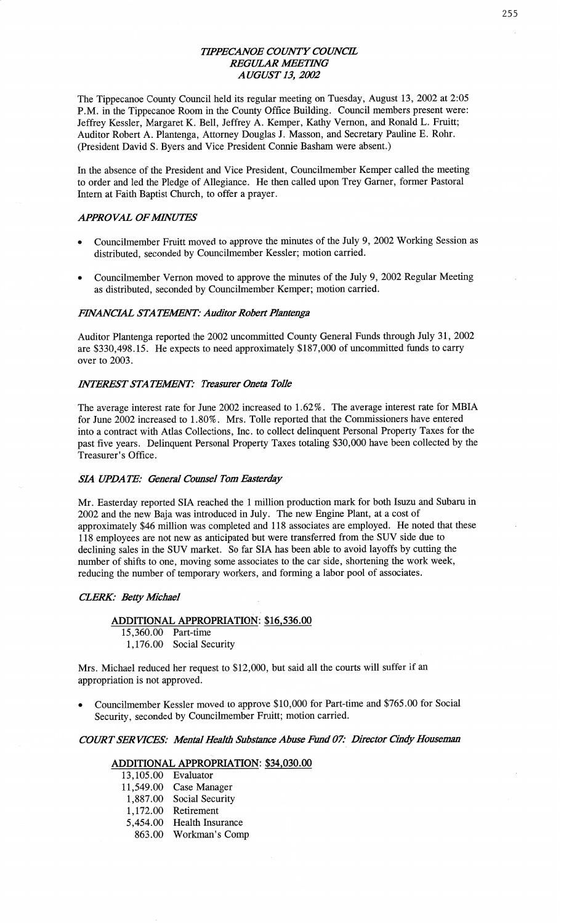# *TH'PEC'ANOE COWT Y COWCE REGULAR WETHVG AUGUST* 13, *2002*

The Tippecanoe County Council held its regular meeting on Tuesday, August 13, 2002 at 2:05 **P.M.** in the Tippecanoe Room in the County **Office** Building. Council members present were: Jeffrey Kessler, Margaret K. Bell, Jeffrey A. Kemper, Kathy Vernon, and Ronald L. Fruitt; Auditor Robert A. Plantenga, Attorney Douglas J. Masson, and Secretary **Pauline** E. Rohr. (President David S. Byers and Vice President Connie Basham were absent.)

In the absence of the President and Vice President, Councilmember Kemper called the meeting to order and led the Pledge of Allegiance. He **then** called upon Trey Garner, former Pastoral Intern at Faith Baptist **Church,** to offer a prayer.

#### **APPROVAL OF MINUTES**

- Councilmember Fruitt moved to approve the minutes of the July 9, 2002 Working Session as distributed, seconded by Councilmember Kessler; motion carried.
- **0** Councilmember Vernon moved to approve the minutes of the July 9, 2002 Regular Meeting as distributed, seconded by Councihnember Kemper; **motion** carried.

#### **FINANCIAL STATEMENT: Auditor Robert Plantenga**

Auditor Plantenga reported the 2002 uncommitted County General Funds through July 31, <sup>2002</sup> are \$330,498.15. He expects to need approximately \$187,000 of uncommitted funds to carry over to 2003.

## *INTEREST* STA *TEAflZNT: Treasmr Oneta T0116*

The average interest rate for June 2002 increased to 1.62%. The average interest rate for MBIA for June 2002 increased to **1.80%.** Mrs. Tolle reported that the **Commissioners** have entered into a contract with **Atlas** Collections, **Inc.** to collect delinquent Personal Property **Taxes** for the past five years. Delinquent Personal Property **Taxes** totaling \$30,000 have been collected by the Treasurer's Office.

#### SL4 *UPDATE: General Counsel* Tom *Easterday* '

Mr. Easterday reported SIA reached the **1** million production mark for both Isuzu and Subaru in 2002 and the new Baja was introduced in July. The new Engine Plant, at a cost of approximately \$46 million was completed and 118 associates are employed. He noted that these <sup>118</sup>employees are not new as anticipated but were transferred from the SUV **side** due to declining sales in the SUV market. So far SIA has been able to avoid layoffs by cutting the number of shifts to one, moving some **associates** to the car side, shortening the work week, reducing the number of temporary workers, and forming a labor pool of associates.

#### *CLERK: Betty Mcbael*

# **ADDITIONAL APPROPRIATION;** \$16,536.00

15,360.00 Part-time 1,176.00 Social Security

**Mrs.** Michael reduced her request to \$12,000, but **said** all the courts will suffer if an appropriation is not approved.

**0** Councilmember Kessler moved to approve \$10,000 for Part-time and \$765.00 for Social Security, seconded by Councilmember Fruitt; motion carried.

*COURT SERVICES: Mental Health Substance Abuse Fund 07: Director Cindy Houseman* 

# **ADDITIONAL APPROPRIATION:** \$34,030.00

| 13,105.00 | Evaluator        |
|-----------|------------------|
| 11,549.00 | Case Manager     |
| 1,887.00  | Social Security  |
| 1,172.00  | Retirement       |
| 5,454.00  | Health Insurance |
| 863.00    | Workman's Comp   |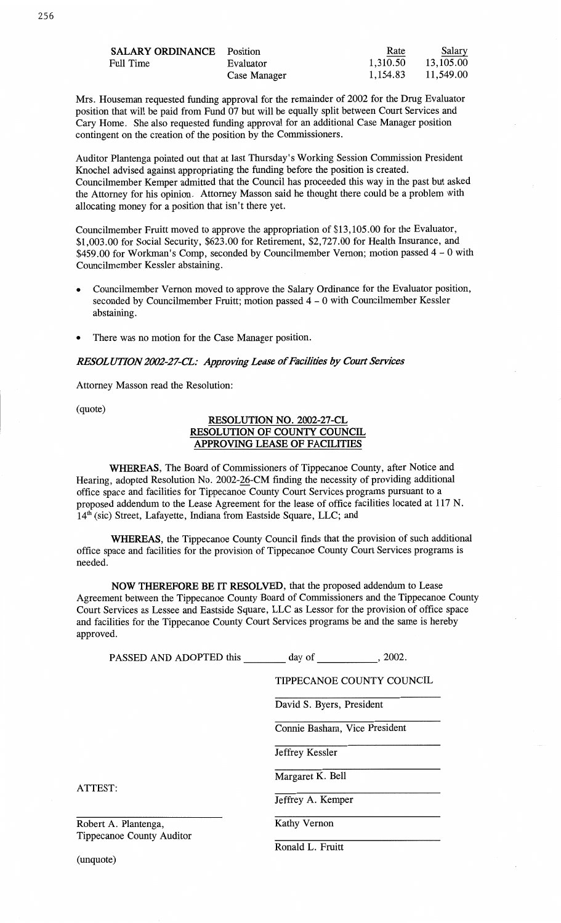| <b>SALARY ORDINANCE</b> Position<br>Full Time | Evaluator<br>Case Manager | Rate<br>1,310.50<br>1,154.83 | Salary<br>13,105.00<br>11,549.00 |
|-----------------------------------------------|---------------------------|------------------------------|----------------------------------|
|                                               |                           |                              |                                  |
|                                               |                           |                              |                                  |

**Mrs.** Houseman requested funding approval for the remainder of 2002 for the Drug Evaluator position that will be paid from Fund 07 but will be equally split between **Court** Services and Cary **Home.** She also requested funding approval for an **additional Case** Manager position contingent on the creation of the position by the **Commissioners.** 

Auditor Plantenga pointed out that at last Thursday's Working Session Commission President Knochel advised against appropriating the funding before the position is created. Councilmember Kemper admitted **that** the Council has proceeded this way in the past but asked the Attorney for his opinion. Attorney **Masson** said he thought there could be **a** problem with allocating money for **a** position that isn't there yet.

Councilmember Fruitt moved to approve the appropriation of \$13,105.00 for the Evaluator, \$1,003.00 for Social Security, \$623.00 for Retirement, \$2,727.00 for Health **Insurance,** and \$459.00 for **Workman's Comp, seconded** by Councilmember Vernon; **motion passed 4** — 0 with Councilmember Kessler abstaining.

- **o** Councilmember Vernon **moved** to approve the Salary Ordinance for the Evaluator position, **seconded** by **Councilmember Pruitt;** motion passed 4 — **O** with Councilmember Kessler abstaining.
- **0** There was no **motion** for the **Case** Manager position.

#### *RESOLUTION 2002-27—CL: Approving Lease* of *Facilities* by Com *Services*

Attorney **Masson** read the Resolution:

(quote)

# **RESOLUTION** NO. **2002-27-CL RESOLUTION** OF **COUNTY COUNCIL APPROVING LEASE** OF **FACILITIES**

**WHEREAS,** The Board of Commissioners of Tippecanoe County, after Notice and Hearing, adopted Resolution No. 2002-26-CM finding the necessity of providing additional office space and facilities for Tippecanoe County Court Services programs pursuant to **a proposed** addendum to the **Lease** Agreement for the **lease** of office facilities located at 117 N. **14'1'** (sic) Street, **Lafayette, Indiana** from Eastside Square, **LLC;** and

**WHEREAS,** the Tippecanoe County Council finds **that** the provision of **such** additional office space and **facilities** for the **provision** of Tippecanoe County Court **Services** programs is needed.

NOW **THEREFORE** BE IT **RESOLVED,** that the **proposed addendum** to Lease Agreement between the Tippecanoe County Board of **Commissioners** and the Tippecanoe County Court Services as Lessee and Eastside Square, LLC as Lessor for the provision of office **space**  and **facilities** for the Tippecanoe County Court **Services** programs be and the same is hereby approved.

| PASSED AND ADOPTED this          | .2002.<br>day of                 |  |  |
|----------------------------------|----------------------------------|--|--|
|                                  | <b>TIPPECANOE COUNTY COUNCIL</b> |  |  |
|                                  | David S. Byers, President        |  |  |
|                                  | Connie Basham, Vice President    |  |  |
|                                  | Jeffrey Kessler                  |  |  |
|                                  | Margaret K. Bell                 |  |  |
| ATTEST:                          | Jeffrey A. Kemper                |  |  |
| Robert A. Plantenga,             | Kathy Vernon                     |  |  |
| <b>Tippecanoe County Auditor</b> |                                  |  |  |

Ronald L. Fruitt

(unquote)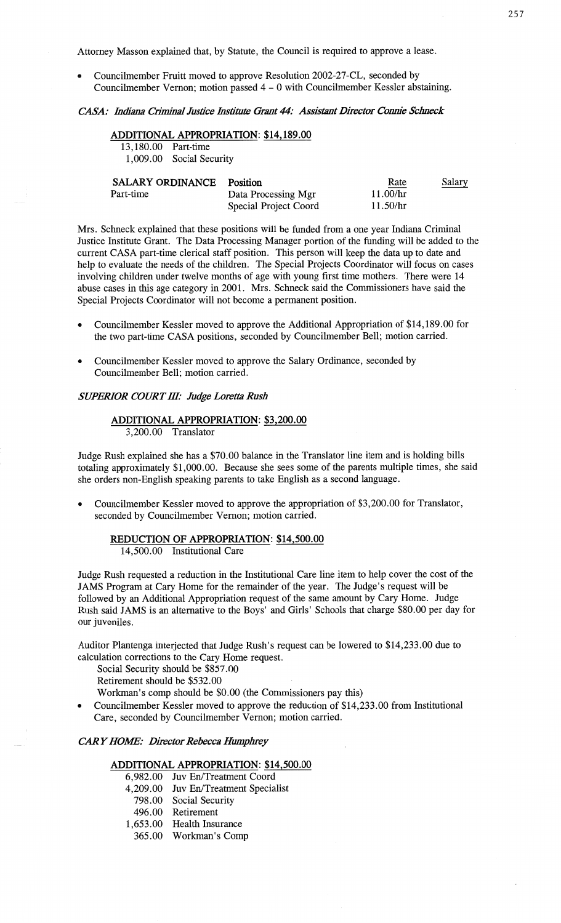Attorney Masson explained that, by Statute, the Council is required to approve a lease.

Councilmember Fruitt moved to approve Resolution 2002-27-CL, seconded by Councilmember Vernon; **motion** passed **4** — 0 with Councilmember Kessler abstaining.

# $CASA:$  *Indiana Criminal Justice Institute Grant 44: Assistant Director Connie Schneck*

# **ADDITIONAL APPROPRIATION:** \$14,189.00

13,180.00 Part—time 1,009.00 Social Security

| <b>SALARY ORDINANCE</b> | <b>Position</b>       | Rate     | <b>Salary</b> |
|-------------------------|-----------------------|----------|---------------|
| Part-time               | Data Processing Mgr   | 11.00/hr |               |
|                         | Special Project Coord | 11.50/hr |               |

Mrs. Schneck explained that these positions will be funded from a one year Indiana Criminal Justice Institute Grant. The Data Processing Manager portion of the funding will be added to the current **CASA** part-time clerical staff position. This person will keep the data up to date and help to evaluate the needs of the children. The Special Projects Coordinator will focus on cases involving children under twelve months of age with young **first** time mothers. There were 14 abuse cases in **this** age category in 2001. Mrs. Schneck said the Commissioners have said the Special Projects Coordinator will not become a permanent position.

- **0** Councilmember **Kessler** moved to approve the Additional Appropriation of \$14,189.00 for the two part-time **CASA** positions, seconded by Councilmember Bell; motion carried.
- **0** Councilmember Kessler moved to approve the Salary **Ordinance,** seconded by Councilmember Bell; motion carried.

#### *SUPERIOR COIRTIH.' Judge Loretta Rush*

# **ADDITIONAL APPROPRIATION:** \$3,200.00 3,200.00 Translator

Judge Rush explained she has **a** \$70.00 balance in the Translator line item and is holding bills totaling approximately \$1,000.00. Because she sees some of the parents multiple times, she said she orders **non-English** speaking parents to take English as **a** second language.

**-** Councilmember Kessler **moved** to approve the appropriation of \$3,200.00 for Translator, seconded by Councilmember Vernon; motion carried.

# **REDUCTION** OF **APPROPRIATION: \$14,500.00**

14,500.00 Institutional Care

Judge Rush requested a reduction in the Institutional Care line item to help cover the cost of the JAMS Program at Cary Home for the remainder of the year. The Judge's request will be followed by an Additional Appropriation request of the **same** amount by Cary Home. Judge Rush said JAMS is an alternative to the Boys' and Girls' Schools that charge \$80.00 per day for our juveniles.

Auditor Plantenga interjected that Judge **Rush's** request can be lowered to \$14,233.00 due to calculation corrections to the Cary Home request.

Social Security should be \$857.00

Retirement should be \$532. 00

Workman's comp should be \$0.00 (the Commissioners pay this)

**0** Councilmember Kessler moved to approve the reduction of \$14, 233.00 from Institutional Care, seconded by Councilmember Vernon; motion carried.

#### *CARY HOW' Director Rebecca* Humphrey

#### **ADDITIONAL APPROPRIATION:** \$14,500.00

| 6,982.00 Juv En/Treatment Coord      |
|--------------------------------------|
| 4,209.00 Juv En/Treatment Specialist |
| 798.00 Social Security               |
| 496.00 Retirement                    |
| 1,653.00 Health Insurance            |
| 365.00 Workman's Comp                |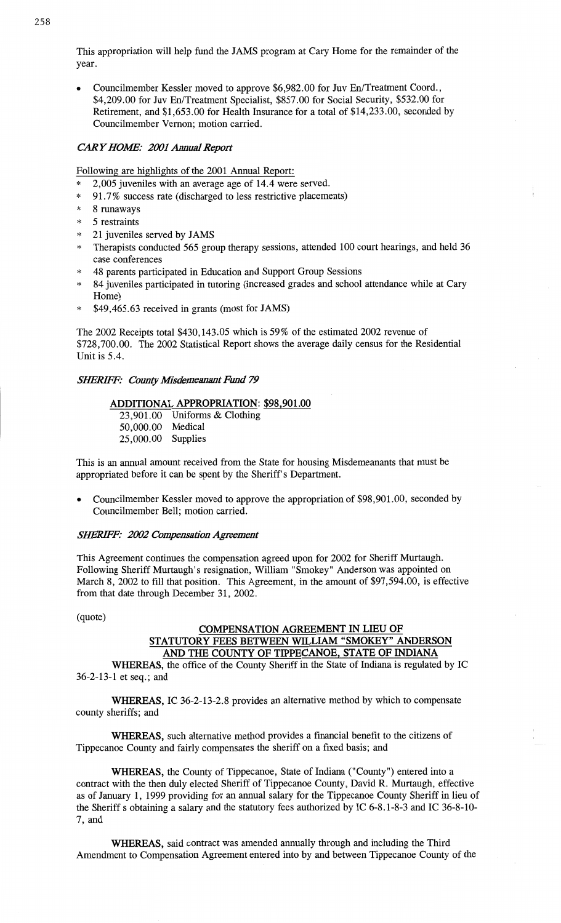**This appropriation** will help **fund** the JAMS program at Cary Home for the remainder of the year.

**0 Councilmember** Kessler moved to **approve** \$6,982.00 for Juv **En/Treatment Coord.,**  \$4,209.00 for Juv **En/Treatment Specialist,** \$857.00 for Social Security, \$532.00 for Retirement, and \$1,653.00 for **Health** Insurance for **a** total of \$14,233.00, seconded by **Councilmember Vernon; motion** carried. *\*\*\*\*\*\** 96\*

# CAR *Y HOW: 2001 Annual Report*

Following are highlights of the 2001 **Annual** Report:

- 2,005 **juveniles** with an average age of **14.4** were served.
- 91.7% success rate (discharged to less restrictive placements)
- 8 runaways
- 5 restraints
- 21 **juveniles served** by JAMS
- Therapists conducted 565- group therapy **sessions,** attended 100 court **hearings,** and held 36 case conferences
- 48 parents participated in Education and Support Group **Sessions**
- <sup>84</sup>juveniles participated in tutoring (increased grades and school **attendance while** at Cary Home)
- **\* \$49,465.63** received in grants (most for JAMS)

The **2002** Receipts total \$430,143.05 which is 59% of the estimated 2002 revenue of \$728,700.00. The 2002 **Statistical Report** shows the average daily census for the Residential Unit is 5.4.

#### *SIERIFE' County* Misdemeanant *Fund* 79

# **ADDITIONAL APPROPRIATION: \$98,901.00**

23,901.00 **Uniforms** & Clothing 50,000.00 Medical 25,000.00 Supplies

**This** is an annual amount received from the State for housing Misdemeanants **that** must be appropriated before it can be spent by the Sheriff's Department.

**0** Councilmember Kessler **moved** to approve the appropriation of \$98,901.00, seconded by Councilmember **Bell; motion** carried.

# *SHERIFF: 2002 Compensation Agreement*

**This** Agreement continues the **compensation** agreed upon for 2002 for **Sheriff** Murtaugh. Following Sheriff Murtaugh's resignation, **William** "Smokey" Anderson was appointed on March 8, 2002 to fill that position. **This** Agreement, in the amount of \$97,594.00, is **effective**  from **that** date **through** December 31, 2002.

 $quote)$ 

# **COMPENSATION AGREEMENT** IN **LIEU** OF **STATUTORY FEES BETWEEN WILLIAM "SMOKEY" ANDERSON**  AND THE **COUNTY** OF **TIPPECANOE, STATE** OF **INDIANA**

**WHEREAS,** the office of the County Sheriff in the **State** of Indiana is regulated by IC 36-2-13-1 et seq.; and

**WHEREAS,** IC 36—2-13—2.8 provides an alternative **method** by which to compensate county sheriffs; and

**WHEREAS, such** alternative method provides a **financial** benefit to the citizens of Tippecanoe County and fairly compensates the sheriff on **a fixed** basis; and

**WHEREAS,** the County of Tippecanoe, State of Indiana ("County") entered into a contract with the then duly elected Sheriff of Tippecanoe County, David R. Murtaugh, **effective**  as of January 1, 1999 providing for an **annual** salary for the **Tippecanoe** County Sheriff in lieu of the Sheriff **s** obtaining **a** salary and the statutory fees authorized by IC **6-8.1-8-3** and IC 36-8-10- 7, and

**WHEREAS, said** contract was amended **annually** through and including the Third **Amendment** to Compensation Agreement entered into by and between Tippecanoe County of the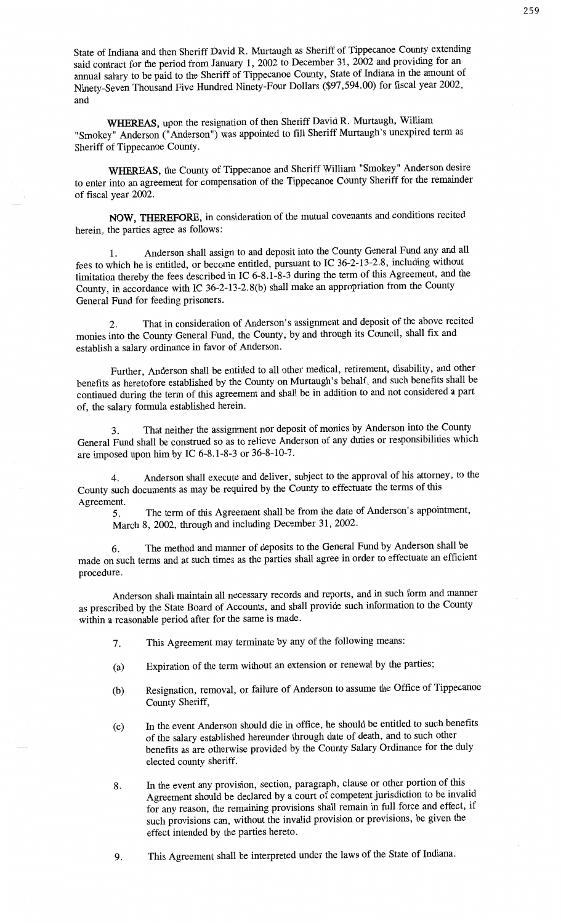**State** of **Indiana** and then Sheriff David R. Murtaugh as **Sheriff** of **Tippecanoe County** extending said contract for the period from January 1, 2002 to December 31, 2002 and providing for an **annual** salary to be paid to the **Sheriff** of **Tippecanoe** County, State of **Indiana** in the **amount** of Ninety-Seven **Thousand** Five Hundred Ninety-Four Dollars (\$97,594.00) for fiscal year 2002, and

**WHEREAS, upon** the resignation of then **Sheriff** David R. **Murtaugh,** William "Smokey" **Anderson** ("Anderson") was appointed to fill **Sheriff** Murtaugh's unexpired term as Sheriff of Tippecanoe **County.** 

**WHEREAS,** the County of **Tippecanoe** and Sheriff William "Smokey" **Anderson** desire to enter into an agreement for compensation of the Tippecanoe **County** Sheriff for the remainder of fiscal year 2002.

**NOW, THEREFORE,** in consideration of the mutual **covenants** and **conditions** recited herein, the parties agree as **follows:** 

1. **Anderson** shall assign to and deposit **into** the County General Fund any and all fees to which he is entitled, or become entitled, pursuant to IC 36-2—13-2.8, including without limitation thereby the **fees** described in IC 6-8.1-8-3 during the **term** of this Agreement, and the County, in accordance with IC 36-2—13-2.8(b) **shall** make an appropriation from the County General Fund for feeding **prisoners.** 

2. **That** in **consideration** of Anderson's assignment and deposit of the above recited monies into the County General Fund, the County, by and through its Council, **shall** fix and **establish a** salary ordinance in favor of **Anderson.** 

Further, **Anderson shall** be entitled to all other medical, retirement, disability, and other benefits as heretofore established by the County on Murtaugh's behalf, and such benefits **shall** be **continued** during the term of **this** agreement and shall be in **addition** to and not **considered a** par<sup>t</sup> of, the salary formula **established** herein.

3. **That** neither the **assignment** nor deposit of monies by **Anderson into** the County General **Fund** shall be construed so as to relieve **Anderson** of any **duties** or **responsibilities** which are imposed **upon** him by IC 6—8.1-8-3 or 36—8-10—7.

4. **Anderson** shall execute and deliver, subject to the approval of his attorney, to the County such documents as may be required by the County to effectuate the terms of this **Agreement.** 

5. The term of this Agreement shall be from the date of **Anderson's** appointment, March 8, 2002, through and including December 31, 2002.

6. The method and manner of **deposits** to the General Fund by **Anderson shall** be made on such terms and at such **times** as the parties **shall** agree in order to effectuate an efficient procedure.

**Anderson shall maintain** all necessary **records** and reports, and in such form and **manner**  as prescribed by the State Board of Accounts, and **shall** provide **such** information to the County **within** a reasonable period after for the same is **made.** 

- 7. This **Agreement** may terminate by any of the following **means:**
- (a) **Expiration** of the term without an extension or renewal by the parties;
- (b) Resignation, removal, or failure of Anderson to assume the Office of **Tippecanoe County Sheriff,**
- (0) In the event **Anderson should** die in office, he should be entitled to such benefits of the salary established hereunder through date of death, and to **such other**  benefits as are otherwise provided by the County' **Salary** Ordinance for the duly elected county sheriff.
- 8. In the event any provision, section, paragraph, clause or other portion of this Agreement should be declared by a court of competent jurisdiction to be invalid for any reason, the remaining provisions shall remain in full force and effect, if **such** provisions can, without the **invalid provision** or provisions, be given the effect intended by the parties hereto.
- 9. This Agreement shall be interpreted under the laws of the State of **Indiana.**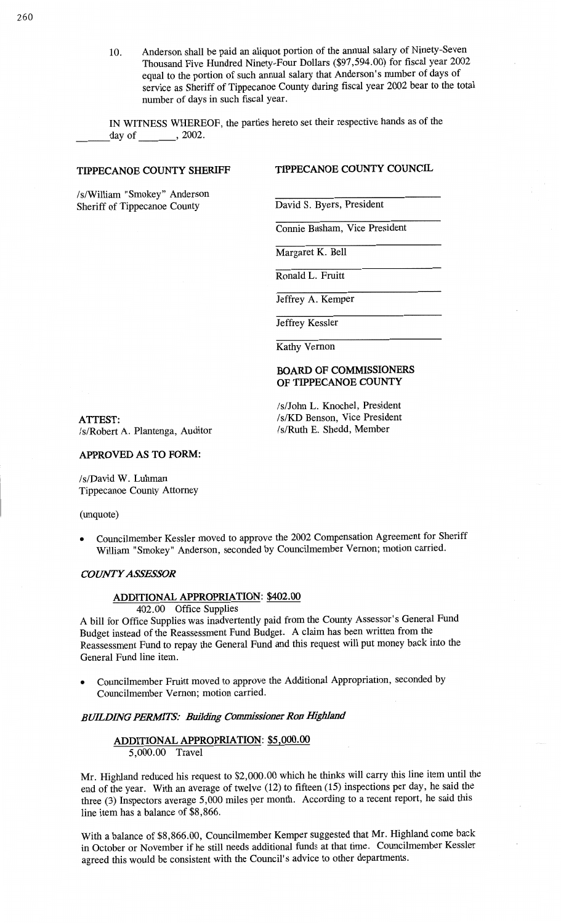10. Anderson **shall** be paid an aliquot portion of the annual salary of **Ninety-Seven Thousand** Five Hundred Ninety-Four Dollars (\$97,594.00) for fiscal year 2002 **equal** to the portion of such annual **salary that** Anderson's number of **days** of service as Sheriff of Tippecanoe County during **fiscal** year 2002 bear to the total number of days in such fiscal year.

IN WITNESS WHEREOF, the parties hereto set their respective **hands** as of the day of <u>6 , 2002</u>.

# **TIPPECANOE COUNTY SHERIFF TIPPECANOE COUNTY COUNCIL**

**/s/William** "Smokey" Anderson **Sheriff of Tippecanoe County David S. Byers, President** 

Connie **Basham, Vice President** 

Margaret K. Bell

Ronald L. Fruitt

Jeffrey A. Kemper

Jeffrey Kessler

Kathy Vernon

# **BOARD** OF **COMMISSIONERS**  OF **TIPPECANOE COUNTY**

/s/John L. Knochel, President

**ATTEST: /s/KD Benson, Vice President /s/Robert** A. Plantenga, Auditor **/s/Ruth** E. **Shedd,** Member

#### **APPROVED** AS TO **FORM:**

**/s/David** W. **Luhman Tippecanoe** County Attorney

(unquote)

**-** Councilmember Kessler moved to **approve** the 2002 Compensation Agreement for Sheriff **William** "Smokey" **Anderson, seconded** by Councilmember **Vernon;** motion carried.

#### *COWASSES'SOR*

# **ADDITIONAL APPROPRIATION: \$402.00**

402.00 Office Supplies

**<sup>A</sup>bill** for Office Supplies was inadvertently **paid** from the County **Assessor's** General Fund Budget instead of the Reassessment Fund Budget. **A** claim has been written from the Reassessment Fund to repay the General Fund and **this** request will put money back **into** the General Fund **line** item.

**0** Councilmember Pruitt moved to **approve** the Additional **Appropriation,** seconded by Councilmember Vernon; motion carried.

# *BUILDING PERMTS: Building Commissioner* Ron *Highland*

# **ADDITIONAL APPROPRIATION:** \$5,000.00 5,000.00 Travel

Mr. Highland reduced his request to \$2,000.00 which he **thinks** will carry **this** line **item** until the end of the year. With an average of twelve (12) to fifteen (15) inspections per day, he **said** the **three** (3) Inspectors average 5,000 **miles** per **month.** According to a **recent** report, he said **this**  line item has a balance of \$8,866.

**With a** balance of \$8,866.00, Councilmember Kemper suggested **that** Mr. Highland come **back**  in October or November if he still needs additional **funds** at **that time.** Councilmember Kessler agreed this would be **consistent** with the Council's advice to other **departments.**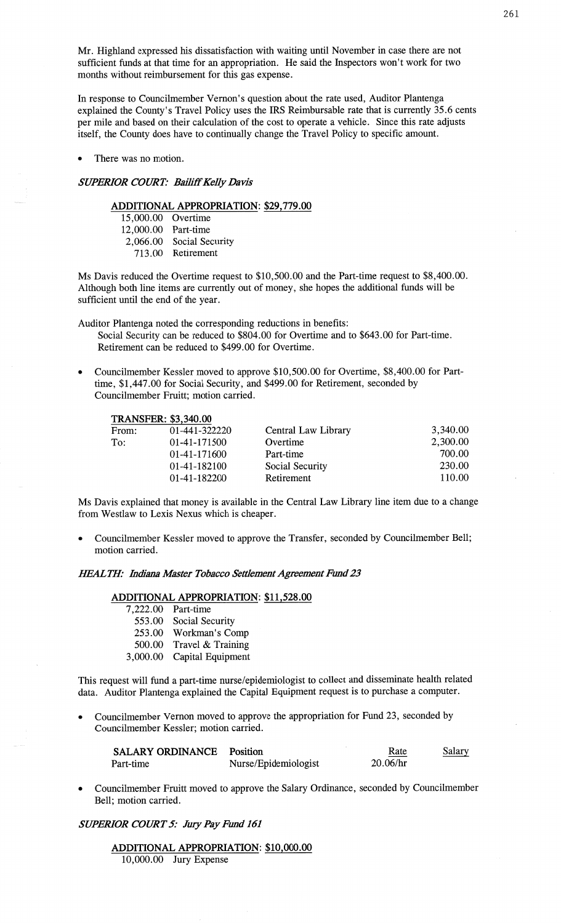Mr. Highland expressed his dissatisfaction with waiting until November in case there are not sufficient funds at that time for an appropriation. He **said** the Inspectors **won't** work for two **months** without reimbursement for this gas expense.

In response to Councilmember Vernon's question about the rate used, Auditor Plantenga explained the County's Travel Policy uses the IRS Reimbursable rate that is currently **35.6** cents per mile and based on their calculation of the cost to operate a vehicle. Since this rate adjusts itself, the County does have to continually change the Travel Policy to specific amount.

There was no motion.

# *SUPERIOR COURT: Baz'lifi'KeIIy Davis*

# **ADDITIONAL APPROPRIATION: \$29,779.00**

| 15,000.00 Overtime  |                          |
|---------------------|--------------------------|
| 12,000.00 Part-time |                          |
|                     | 2,066.00 Social Security |
|                     | 713.00 Retirement        |

Ms Davis reduced the Overtime request to \$10,500.00 and the Part-time request to \$8,400.00. Although both line items are currently out of money, she hopes the additional fimds will be sufficient until the end of the year.

Auditor Plantenga noted the corresponding reductions in benefits:

Social Security can be reduced to \$804.00 for Overtime and to \$643.00 for Part-time. Retirement can be reduced to \$499.00 for Overtime.

Councilmember Kessler moved to approve \$10,500.00 for Overtime, \$8,400.00 for Parttime, \$1,447.00 for Social Security, and \$499.00 for Retirement, seconded by Councilmember Pruitt; motion carried.

| 3,340.00 |
|----------|
| 2,300.00 |
| 700.00   |
| 230.00   |
| 110.00   |
|          |

Ms Davis explained that money is available in the Central Law Library line **item** due to **a** change from Westlaw to **Lexis** Nexus which is cheaper.

**<sup>0</sup>**Councilmember Kessler moved to approve the Transfer, seconded by Councilmember Bell; **motion** carried.

#### *IflE'ALZH' Indiana Master Tobacco Settlement Agreement* Fund 23

#### **ADDITIONAL** APPROPRIATION: \$11,528.00

| 7,222.00 | Part-time         |
|----------|-------------------|
| 553.00   | Social Security   |
| 253.00   | Workman's Comp    |
| 500.00   | Travel & Training |
| 3,000.00 | Capital Equipment |

**This** request **will** fund a part-time nurse/epidemiologist to collect and disseminate health related data. **Auditor** Plantenga explained the Capital Equipment request is to purchase a computer.

*-* Councilmember Vernon moved to approve the appropriation for Fund 23, seconded by Councilmember Kessler; motion carried.

| <b>SALARY ORDINANCE</b> | Position             | Rate     | Salary |
|-------------------------|----------------------|----------|--------|
| Part-time               | Nurse/Epidemiologist | 20.06/hr |        |

**-** Councilmember Fruitt moved to approve the Salary Ordinance, seconded by Councilmember Bell; motion **carried.** 

*SUPERIOR COURT* 5: *July* Pay *Fund* 161

# **ADDITIONAL APPROPRIATION:** \$10,000.00 10,000.00 Jury Expense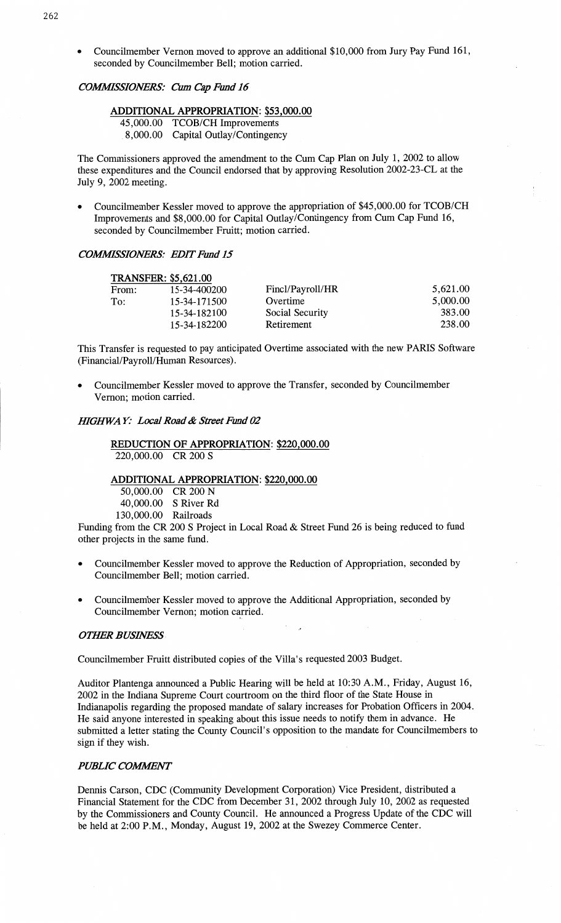**<sup>0</sup>Councilmember** Vernon moved to approve an **additional** \$10,000 from Jury Pay Fund 161, seconded by Councilmember Bell; **motion** carried.

# *COWSIONERS:* Cum Cap Emd I6-

# **ADDITIONAL APPROPRIATION:** \$53,000.00

45,000.00 TCOB/CH Improvements

*\_* 8,000.00 Capital Outlay/Contingency

The Commissioners approved the amendment to the Cum Cap **Plan** on July 1, 2002 to allow these expenditures and the Council endorsed **that** by approving Resolution 2002-23—CL at the July 9, 2002 meeting.

**0** Councilmember Kessler **moved** to approve the appropriation of \$45,000.00 for TCOB/CH Improvements and \$8,000.00 for Capital **Outlay/Contingency** from Cum Cap Fund 16, seconded by Councilmember Fruitt; motion carried.

# *COMMSSIONERS: EDIT* Emd 15

|       | <b>TRANSFER: \$5,621.00</b> |                  |          |
|-------|-----------------------------|------------------|----------|
| From: | 15-34-400200                | Fincl/Payroll/HR | 5,621.00 |
| To:   | 15-34-171500                | Overtime         | 5,000.00 |
|       | 15-34-182100                | Social Security  | 383.00   |
|       | 15-34-182200                | Retirement       | 238.00   |

**This** Transfer is requested to pay anticipated Overtime **associated** with the new **PARIS** Software (Financial/Payroll/Human Resources).

**0** Councilmember Kessler **moved** to approve the Transfer, seconded by Councilmember **Vernon;** motion carried.

# *IHGHWAY: Local Road & Street Fund 02*

# **REDUCTION** OF **APPROPRIATION: \$220,000.00**  220,000.00 CR 200 **S**

# **ADDITIONAL APPROPRIATION: \$220,000.00**  50,000.00 CR 200 N

40,000.00 **S** River Rd 130,000.00 Railroads

**Funding** from the CR 200 **S Project** in **Local Road** & **Street** Fund 26 is being reduced to fimd other projects in the same fund.

- **0 Councilmember** Kessler **moved** to approve the **Reduction** of Appropriation, seconded by Councilmember Bell; motion **carried.**
- **<sup>0</sup>**Councilmember Kessler **moved** to approve the Additional Appropriation, seconded by Councilmember Vernon; **motion** carried.

#### *OTIER BUSHVES'S »*

**Councilmember** Fruitt distributed copies of the Villa's requested 2003 Budget.

**Auditor Plantenga announced** a Public **Hearing** will be held at 10:30 **A.M.,** Friday, August 16, 2002 in the Indiana Supreme Court courtroom on the third **floor** of the State House in Indianapolis regarding the proposed **mandate** of salary increases for Probation Officers in 2004. He said anyone interested in speaking about this **issue** needs to notify them in advance. He submitted **a letter stating** the County **Council's** opposition to the **mandate** for Councilmembers to sign if they wish.

# **PUBLIC COMMENT**

**Dennis** Carson, CDC **(Community Development** Corporation) Vice President, distributed a **Financial** Statement for the CDC from December 31, 2002 through July 10, **2002** as requested by the Commissioners and County Council. He announced a Progress Update of the CDC will be held at 2:00 P.M., Monday, August 19, 2002 at the Swezey Commerce **Center.**